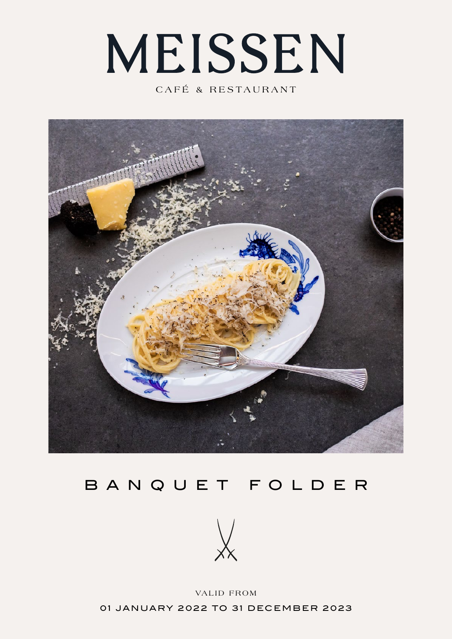# MEISSEN

CAFÉ & RESTAURANT



# BANQUET FOLDER



VALID FROM 01 JANUARY 2022 TO 31 DECEMBER 2023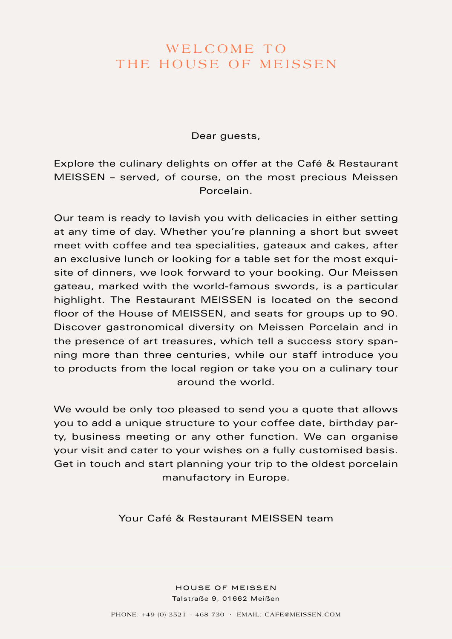## WELCOME TO THE HOUSE OF MEISSEN

Dear guests,

Explore the culinary delights on offer at the Café & Restaurant MEISSEN – served, of course, on the most precious Meissen Porcelain.

Our team is ready to lavish you with delicacies in either setting at any time of day. Whether you're planning a short but sweet meet with coffee and tea specialities, gateaux and cakes, after an exclusive lunch or looking for a table set for the most exquisite of dinners, we look forward to your booking. Our Meissen gateau, marked with the world-famous swords, is a particular highlight. The Restaurant MEISSEN is located on the second floor of the House of MEISSEN, and seats for groups up to 90. Discover gastronomical diversity on Meissen Porcelain and in the presence of art treasures, which tell a success story spanning more than three centuries, while our staff introduce you to products from the local region or take you on a culinary tour around the world.

We would be only too pleased to send you a quote that allows you to add a unique structure to your coffee date, birthday party, business meeting or any other function. We can organise your visit and cater to your wishes on a fully customised basis. Get in touch and start planning your trip to the oldest porcelain manufactory in Europe.

Your Café & Restaurant MEISSEN team

HOUSE OF MEISSEN Talstraße 9, 01662 Meißen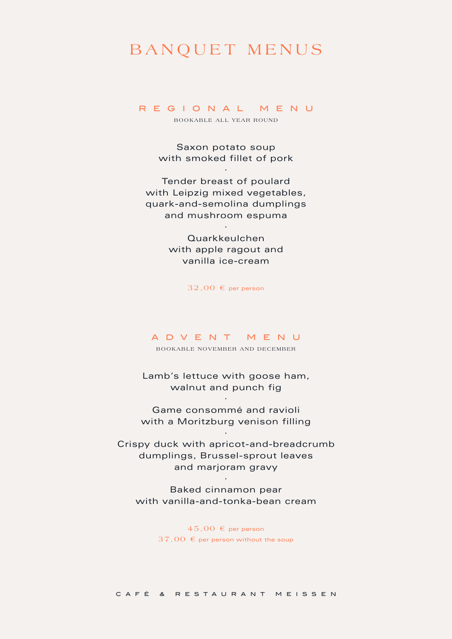## B A N Q U E T M E N U S

## R E G I O N A L M E N U

BOOKABLE ALL YEAR ROUND

Saxon potato soup with smoked fillet of pork

·

Tender breast of poulard with Leipzig mixed vegetables, quark-and-semolina dumplings and mushroom espuma

> Quarkkeulchen with apple ragout and vanilla ice-cream

·

 $32,00 \text{ } \in \text{per person}$ 

#### ADVENT MENU

BOOKABLE NOVEMBER AND DECEMBER

Lamb's lettuce with goose ham, walnut and punch fig

·

Game consommé and ravioli with a Moritzburg venison filling

·

Crispy duck with apricot-and-breadcrumb dumplings, Brussel-sprout leaves and marjoram gravy

Baked cinnamon pear with vanilla-and-tonka-bean cream

·

 $45,00 \text{ } \in \text{ per person}$  $37,00 \text{ } \in$  per person without the soup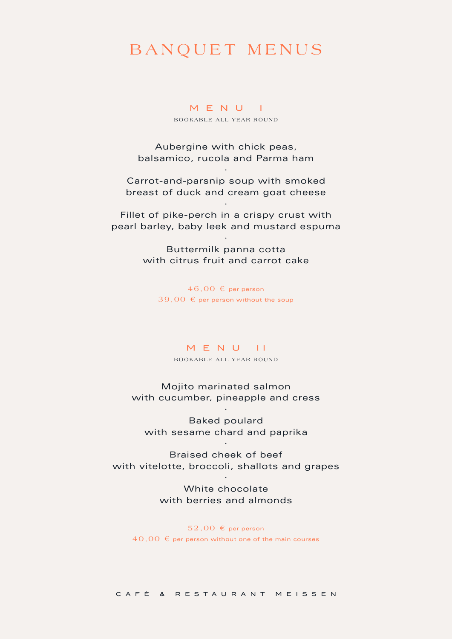## BANQUET MENUS

## MENU I

BOOKABLE ALL YEAR ROUND

Aubergine with chick peas, balsamico, rucola and Parma ham

Carrot-and-parsnip soup with smoked breast of duck and cream goat cheese

·

Fillet of pike-perch in a crispy crust with pearl barley, baby leek and mustard espuma

·

·

Buttermilk panna cotta with citrus fruit and carrot cake

 $46,00 \text{ } \in \text{per person}$  $39,00 \text{ } \in$  per person without the soup

#### M E N U II

BOOKABLE ALL YEAR ROUND

Mojito marinated salmon with cucumber, pineapple and cress

·

Baked poulard with sesame chard and paprika

Braised cheek of beef with vitelotte, broccoli, shallots and grapes

·

·

White chocolate with berries and almonds

 $52,00 \text{ } \in \text{per person}$  $40,00 \text{ } \in \mathsf{per}$  per person without one of the main courses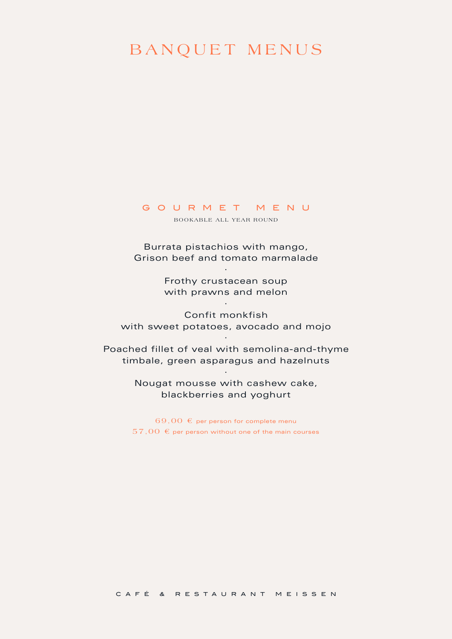# BANQUET MENUS

## G O U R M E T M E N U

BOOKABLE ALL YEAR ROUND

Burrata pistachios with mango, Grison beef and tomato marmalade

·

Frothy crustacean soup with prawns and melon

·

Confit monkfish with sweet potatoes, avocado and mojo

Poached fillet of veal with semolina-and-thyme timbale, green asparagus and hazelnuts

·

Nougat mousse with cashew cake, blackberries and yoghurt

·

 $69,00 \text{ } \in \text{ per person for complete menu}$  $57,00 \text{ } \in$  per person without one of the main courses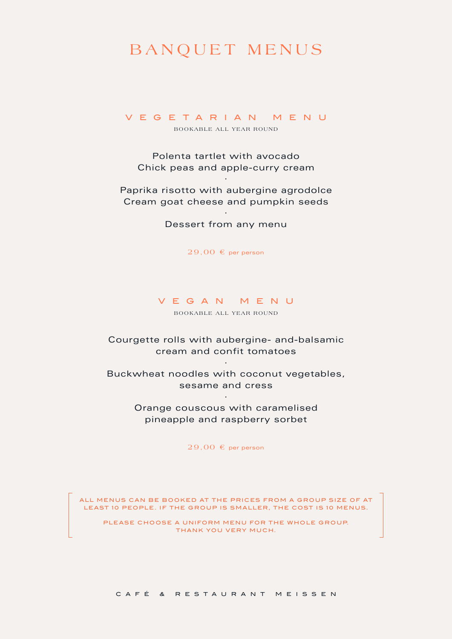## BANQUET MENUS

BOOKABLE ALL YEAR ROUND VEGETARIAN MENU

Polenta tartlet with avocado Chick peas and apple-curry cream

Paprika risotto with aubergine agrodolce Cream goat cheese and pumpkin seeds

·

· Dessert from any menu

 $29,00 \text{ } \in \text{per person}$ 

BOOKABLE ALL YEAR ROUND VEGAN MENU

Courgette rolls with aubergine- and-balsamic cream and confit tomatoes

Buckwheat noodles with coconut vegetables, sesame and cress

·

·

Orange couscous with caramelised pineapple and raspberry sorbet

 $29,00 \text{ } \in \text{ per person}$ 

ALL MENUS CAN BE BOOKED AT THE PRICES FROM A GROUP SIZE OF AT LEAST 10 PEOPLE. IF THE GROUP IS SMALLER, THE COST IS 10 MENUS.

PLEASE CHOOSE A UNIFORM MENU FOR THE WHOLE GROUP. THANK YOU VERY MUCH.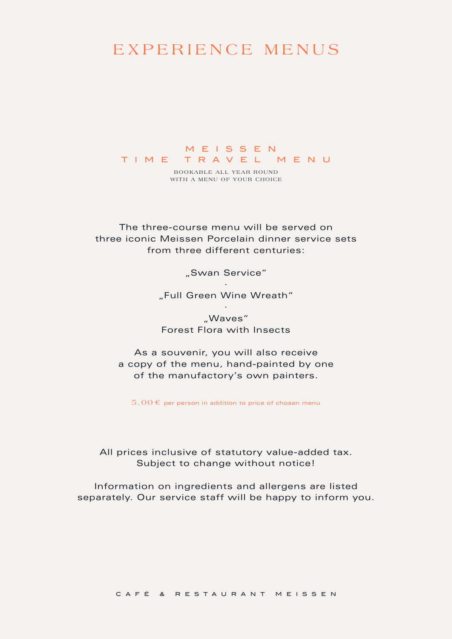## EXPERIENCE MENUS

#### MEISSEN TIME TRAVEL MENU

BOOKABLE ALL YEAR ROUND WITH A MENU OF YOUR CHOICE

The three-course menu will be served on three iconic Meissen Porcelain dinner service sets from three different centuries:

"Swan Service"

· "Full Green Wine Wreath" ·

"Waves" Forest Flora with Insects

As a souvenir, you will also receive a copy of the menu, hand-painted by one of the manufactory's own painters.

 $5,00 \notin$  per person in addition to price of chosen menu

All prices inclusive of statutory value-added tax. Subject to change without notice!

Information on ingredients and allergens are listed separately. Our service staff will be happy to inform you.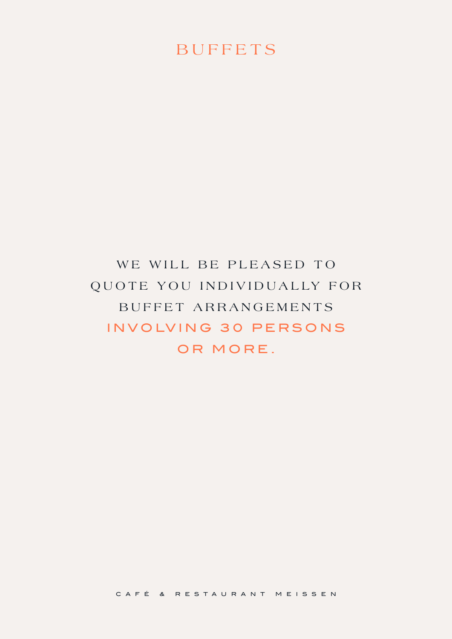# BUFFETS

# WE WILL BE PLEASED TO QUOTE YOU INDIVIDUALLY FOR BUFFET ARRANGEMENTS INVOLVING 30 PERSONS OR MORE.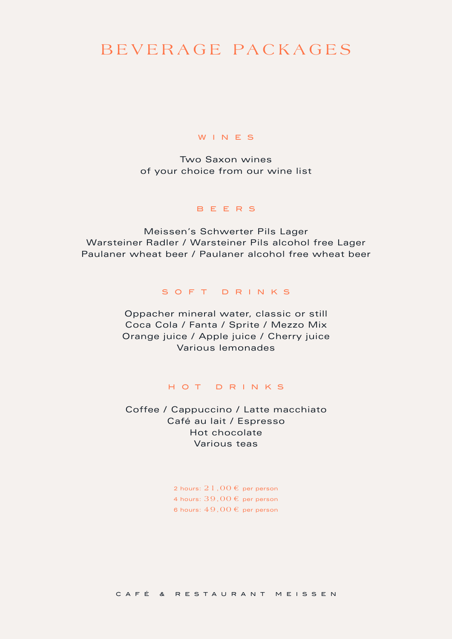## BEVERAGE PACKAGES

#### WINES

Two Saxon wines of your choice from our wine list

#### BEERS

Meissen's Schwerter Pils Lager Warsteiner Radler / Warsteiner Pils alcohol free Lager Paulaner wheat beer / Paulaner alcohol free wheat beer

#### SOFT DRINKS

Oppacher mineral water, classic or still Coca Cola / Fanta / Sprite / Mezzo Mix Orange juice / Apple juice / Cherry juice Various lemonades

#### HOT DRINKS

Coffee / Cappuccino / Latte macchiato Café au lait / Espresso Hot chocolate Various teas

> 2 hours:  $21,00 \text{ } \in \text{ }$  per person 4 hours: 39,00 € per person 6 hours:  $49,00 \text{ } \in \text{ }$  per person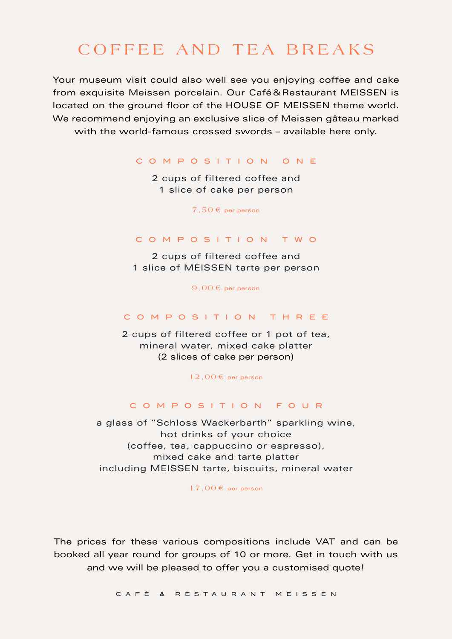## COFFEE AND TEA BREAKS

Your museum visit could also well see you enjoying coffee and cake from exquisite Meissen porcelain. Our Café & Restaurant MEISSEN is located on the ground floor of the HOUSE OF MEISSEN theme world. We recommend enjoying an exclusive slice of Meissen gâteau marked with the world-famous crossed swords – available here only.

#### COMPOSITION ONE

2 cups of filtered coffee and 1 slice of cake per person

 $7,50 \text{ } \in \text{ per person}$ 

#### COMPOSITION TWO

2 cups of filtered coffee and 1 slice of MEISSEN tarte per person

 $9,00 \notin$  per person

#### COMPOSITION THREE

2 cups of filtered coffee or 1 pot of tea, mineral water, mixed cake platter (2 slices of cake per person)

12,00 € per person

#### COMPOSITION FOUR

a glass of "Schloss Wackerbarth" sparkling wine, hot drinks of your choice (coffee, tea, cappuccino or espresso), mixed cake and tarte platter including MEISSEN tarte, biscuits, mineral water

 $17,00 \notin$  per person

The prices for these various compositions include VAT and can be booked all year round for groups of 10 or more. Get in touch with us and we will be pleased to offer you a customised quote!

CAFÉ & RESTAURANT MEISSEN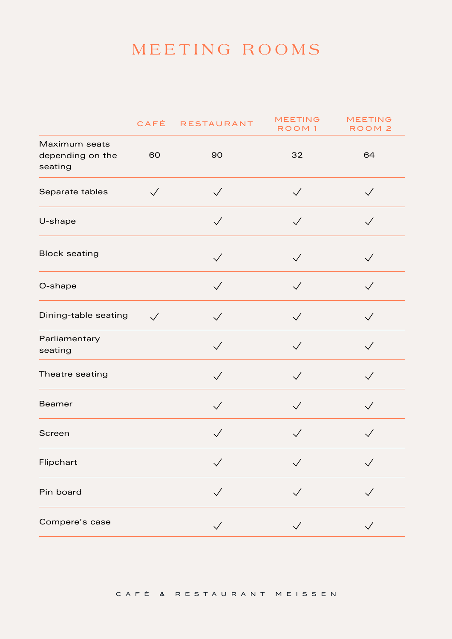# MEETING ROOMS

|                                              |              | CAFÉ RESTAURANT | <b>MEETING</b><br>ROOM <sub>1</sub> | <b>MEETING</b><br>ROOM <sub>2</sub> |
|----------------------------------------------|--------------|-----------------|-------------------------------------|-------------------------------------|
| Maximum seats<br>depending on the<br>seating | 60           | 90              | 32                                  | 64                                  |
| Separate tables                              | $\checkmark$ | $\sqrt{}$       | $\sqrt{}$                           | $\checkmark$                        |
| U-shape                                      |              | $\checkmark$    | $\checkmark$                        | $\sqrt{}$                           |
| <b>Block seating</b>                         |              | $\sqrt{}$       | $\sqrt{}$                           | $\sqrt{}$                           |
| O-shape                                      |              | $\checkmark$    | $\checkmark$                        | $\sqrt{}$                           |
| Dining-table seating                         | $\sqrt{}$    | $\sqrt{}$       | $\sqrt{}$                           | $\checkmark$                        |
| Parliamentary<br>seating                     |              | $\checkmark$    | $\checkmark$                        |                                     |
| Theatre seating                              |              | $\sqrt{}$       | $\sqrt{}$                           | $\sqrt{}$                           |
| <b>Beamer</b>                                |              | $\checkmark$    | $\sqrt{}$                           |                                     |
| Screen                                       |              | $\sqrt{}$       | $\sqrt{}$                           |                                     |
| Flipchart                                    |              |                 |                                     |                                     |
| Pin board                                    |              | $\checkmark$    | $\sqrt{}$                           |                                     |
| Compere's case                               |              |                 |                                     |                                     |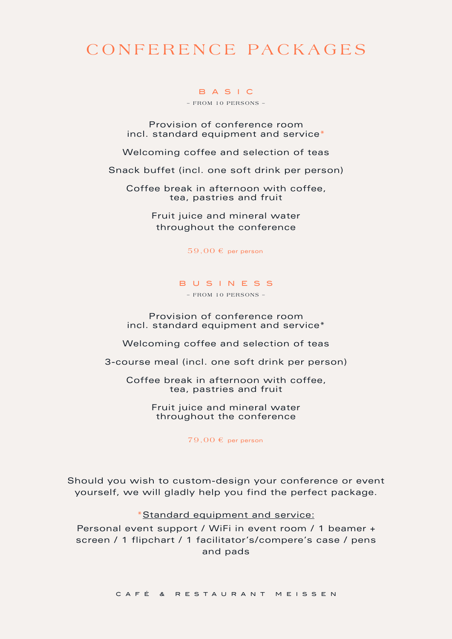## CONFERENCE PACKAGES

## BASIC

– FROM 10 PERSONS –

Provision of conference room incl. standard equipment and service\*

Welcoming coffee and selection of teas

Snack buffet (incl. one soft drink per person)

Coffee break in afternoon with coffee, tea, pastries and fruit

> Fruit juice and mineral water throughout the conference

> > $59,00 \text{ } \in \text{ }$  per person

#### BUSINESS

– FROM 10 PERSONS –

Provision of conference room incl. standard equipment and service\*

Welcoming coffee and selection of teas

3-course meal (incl. one soft drink per person)

Coffee break in afternoon with coffee, tea, pastries and fruit

> Fruit juice and mineral water throughout the conference

> > $79,00 \text{ } \in \text{ }$  per person

Should you wish to custom-design your conference or event yourself, we will gladly help you find the perfect package.

\*Standard equipment and service:

Personal event support / WiFi in event room / 1 beamer + screen / 1 flipchart / 1 facilitator's/compere's case / pens and pads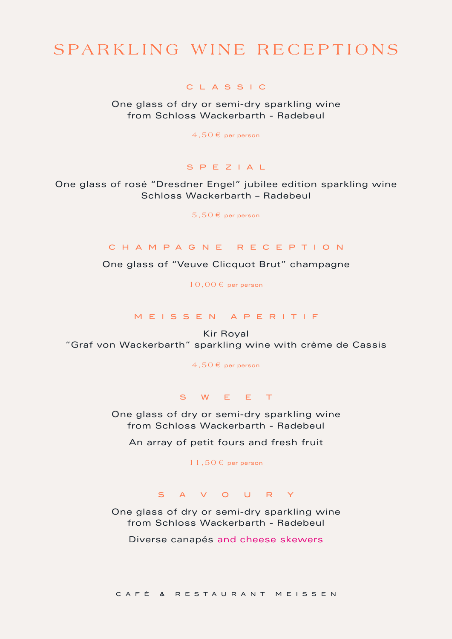## SPARKLING WINE RECEPTIONS

#### CLASSIC

One glass of dry or semi-dry sparkling wine from Schloss Wackerbarth - Radebeul

 $4,50 \in$  per person

### SPEZIAL

One glass of rosé "Dresdner Engel" jubilee edition sparkling wine Schloss Wackerbarth – Radebeul

 $5.50 \text{ } \in$  per person

#### CHAMPAGNE RECEPTION

One glass of "Veuve Clicquot Brut" champagne

 $10,00 \in$  per person

#### MEISSEN APERITIF

Kir Royal "Graf von Wackerbarth" sparkling wine with crème de Cassis

 $4,50 \text{ } \in \text{ per person}$ 

#### S W E E T

One glass of dry or semi-dry sparkling wine from Schloss Wackerbarth - Radebeul

An array of petit fours and fresh fruit

 $11,50 \text{ } \in \text{ per person}$ 

#### S A V O U R Y

One glass of dry or semi-dry sparkling wine from Schloss Wackerbarth - Radebeul

Diverse canapés and cheese skewers

CAFÉ & RESTAURANT MEISSEN